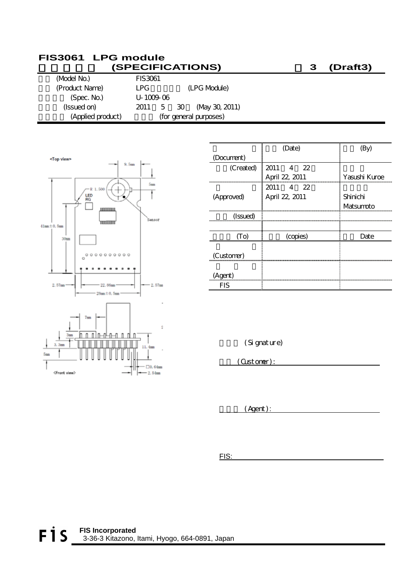#### **FIS3061 LPG module**  納入仕様書 **(SPECIFICATIONS)** 案 **3 (Draft3)**

| (Model No.)       | <b>FIS3061</b>  |   |    |                        |
|-------------------|-----------------|---|----|------------------------|
| (Product Name)    | LPG.            |   |    | (LPG Module)           |
| (Spec. No.)       | $U - 1009 - 06$ |   |    |                        |
| (Issued on)       | 2011            | 5 | 30 | (May 30, 2011)         |
| (Applied product) |                 |   |    | (for general purposes) |



|            | (Date)         |               |
|------------|----------------|---------------|
| (Document) |                |               |
| (Created)  | 2011 4 22      |               |
|            | April 22, 2011 | Yasushi Kuroe |
|            | 2011 4 22      |               |
| (Approved) | April 22, 2011 | Shinichi      |
|            |                | Matsumpto     |
| (Issued)   |                |               |
|            |                |               |
| (To)       | (copies)       | Date          |
|            |                |               |
| (Customer) |                |               |
|            |                |               |
| (Agent)    |                |               |
| FIS        |                |               |

(Signature)

(Customer):

 $(Agent):$ 

FIS: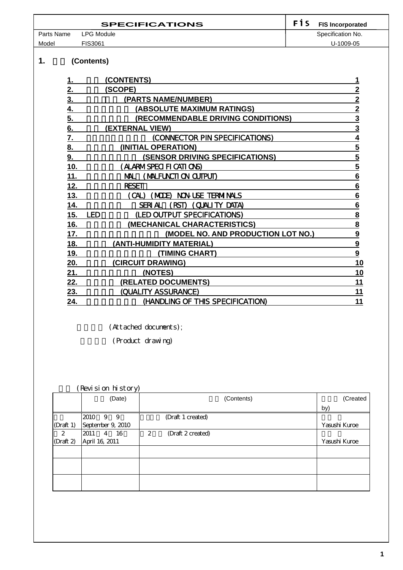|            | <b>SPECIFICATIONS</b> | FİS | <b>FIS Incorporated</b> |
|------------|-----------------------|-----|-------------------------|
| Parts Name | LPG Module            |     | Specification No.       |
| Model      | FIS3061               |     | U-1009-05               |

### 1. **(Contents)**

| (CONTENTS)                                     |                         |
|------------------------------------------------|-------------------------|
| (SCOPE)                                        | $\mathbf{2}$            |
| (PARTS NAME/NUMBER)                            | 2                       |
| (ABSOLUTE MAXIMUM RATINGS)                     | $\overline{2}$          |
| (RECOMMENDABLE DRIVING CONDITIONS)             | $\overline{\mathbf{3}}$ |
| <b>(EXTERNAL VIEW)</b>                         | $\overline{\mathbf{3}}$ |
| (CONNECTOR PIN SPECIFICATIONS)                 | 4                       |
| (INITIAL OPERATION)                            | 5                       |
| (SENSOR DRIVING SPECIFICATIONS)                | $\overline{\mathbf{5}}$ |
| (ALARMSPECIFICATIONS)                          | $\overline{5}$          |
| (MALFUNCTION CUTPUT)<br>ML                     | 6                       |
| <b>RESET</b>                                   | 6                       |
| NON-USE TERNINALS<br>(CAL)<br>(MDF)            | 6                       |
| (CUALITY DATA)<br><b>SERIAL</b><br><b>RST)</b> | 6                       |
| (LED OUTPUT SPECIFICATIONS)<br><b>LED</b>      | 8                       |
| (MECHANICAL CHARACTERISTICS)                   | $\overline{\mathbf{8}}$ |
| (MODEL NO. AND PRODUCTION LOT NO.)             | $\overline{9}$          |
| (ANTI-HUMIDITY MATERIAL)                       | $\overline{9}$          |
| <b>TIMING CHART)</b>                           | $\boldsymbol{9}$        |
| (CIRCUIT DRAWING)                              | 10                      |
| (NOTES)                                        | 10                      |
| (RELATED DOCUMENTS)                            | 11                      |
| (QUALITY ASSURANCE)                            | 11                      |
| (HANDLING OF THIS SPECIFICATION)               | 11                      |
|                                                |                         |

(Attached documents);

(Product drawing)

#### 履歴 (Revision history)

|              | $\sim$ $\cdot$<br>(Date) | (Contents)             | (Created      |
|--------------|--------------------------|------------------------|---------------|
|              |                          |                        | by)           |
|              | 2010 9 9                 | (Draft 1 created)      |               |
| (Draft 1)    | September 9, 2010        |                        | Yasushi Kuroe |
| 2            | 2011<br>4 16             | (Draft 2 created)<br>2 |               |
| (Draft $2$ ) | April 16, 2011           |                        | Yasushi Kuroe |
|              |                          |                        |               |
|              |                          |                        |               |
|              |                          |                        |               |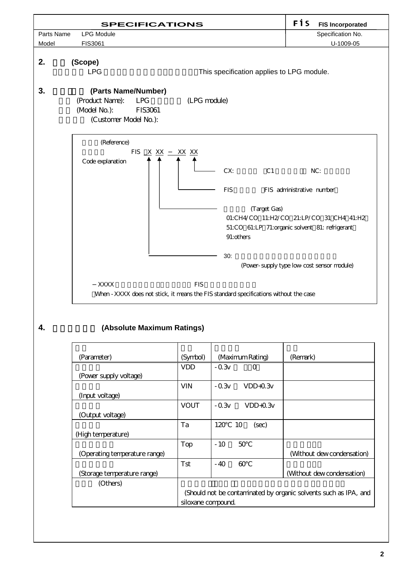

#### **4.** *Absolute Maximum Ratings*

| (Parameter)                   | (Symbol)                                                         | (Maximum Rating)      | (Remark)                   |  |
|-------------------------------|------------------------------------------------------------------|-----------------------|----------------------------|--|
|                               | <b>VDD</b>                                                       | $-0.3v$<br>$\Omega$   |                            |  |
| (Power supply voltage)        |                                                                  |                       |                            |  |
|                               | <b>VIN</b>                                                       | $-0.3v$<br>$VDD+0.3v$ |                            |  |
| (Input voltage)               |                                                                  |                       |                            |  |
|                               | <b>VOUT</b>                                                      | $-0.3v$<br>$VDD+0.3v$ |                            |  |
| (Output voltage)              |                                                                  |                       |                            |  |
|                               | Ta                                                               | 120<br>10<br>(sec)    |                            |  |
| (High temperature)            |                                                                  |                       |                            |  |
|                               | Top                                                              | $-10$<br>50           |                            |  |
| (Operating temperature range) |                                                                  |                       | (Without dew condensation) |  |
|                               | Tst                                                              | $-40$<br>60           |                            |  |
| (Storage temperature range)   |                                                                  |                       | (Without dew condensation) |  |
| (Others)                      |                                                                  |                       |                            |  |
|                               | (Should not be contaminated by organic solvents such as IPA, and |                       |                            |  |
|                               | siloxane compound.                                               |                       |                            |  |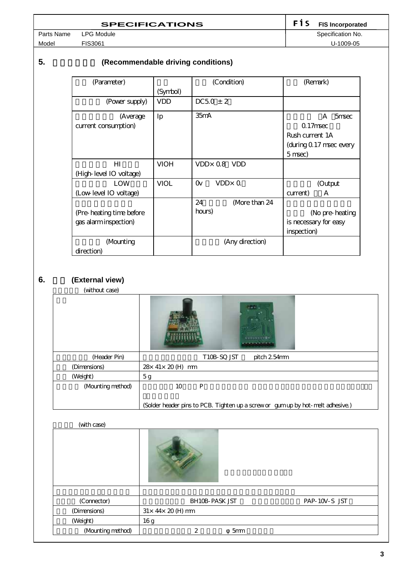| <b>SPECIFICATIONS</b> | <b>F</b> 1 S FIS Incorporated |
|-----------------------|-------------------------------|
| LPG Module            | Specification No.             |

Parts Name LPG Module Specification No. Model FIS3061 U-1009-05

#### **5. (Recommendable driving conditions)**

| (Parameter)               |             | (Condition)                | (Remark)                |
|---------------------------|-------------|----------------------------|-------------------------|
|                           | (Symbol)    |                            |                         |
| (Power supply)            | <b>VDD</b>  | $DC50 \pm 2$               |                         |
|                           |             | 35mA                       | 5msec<br>A              |
| (Average                  | Ip          |                            |                         |
| current consumption)      |             |                            | $0.17$ msec             |
|                           |             |                            | Rush current. 1A        |
|                           |             |                            | (during 0.17 msec every |
|                           |             |                            | $5$ msec $)$            |
| HT                        | <b>VIOH</b> | $VDD \times$ 0.8 $VDD$     |                         |
| (High-level IO voltage)   |             |                            |                         |
| <b>LOW</b>                | <b>VIOL</b> | $VDD \times Q$<br>$\alpha$ | (Output                 |
| (Low level IO voltage)    |             |                            | A<br>current)           |
|                           |             | 24<br>(More than 24        |                         |
| (Pre-heating time before) |             | hours)                     | (No pre-heating         |
| gas alarminspection)      |             |                            | is necessary for easy   |
|                           |             |                            |                         |
|                           |             |                            | inspection)             |
| (Mounting                 |             | (Any direction)            |                         |
| direction)                |             |                            |                         |

### **6.** (External view)

(without case)

| ( <i>v</i> echoù case) |                                                                                  |
|------------------------|----------------------------------------------------------------------------------|
|                        | 0000000000                                                                       |
| (Header Pin)           | pitch 254mm<br>T10B-SQ JST                                                       |
| (Dimensions)           | $28 \times 41 \times 20$ (H) mm                                                  |
| (Weight)               | 5g                                                                               |
| (Mounting method)      | $\mathbf P$<br>10                                                                |
|                        | (Solder header pins to PCB. Tighten up a screw or gum up by hot- melt adhesive.) |

| (with case)       |                                   |               |
|-------------------|-----------------------------------|---------------|
|                   |                                   |               |
|                   |                                   |               |
| (Connector)       | <b>BH10B-PASK JST</b>             | PAP-10V-S JST |
| (Dimensions)      | $31\times 44\times 20$ (H) mm     |               |
| (Weight)          | 16g                               |               |
| (Mounting method) | $\overline{c}$<br>5 <sub>mm</sub> |               |

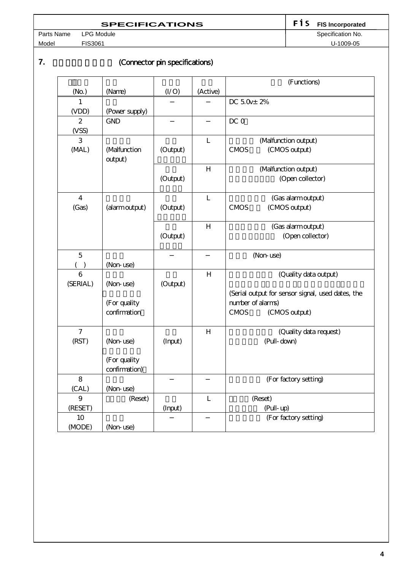# **SPECIFICATIONS**<br> **EPG Module**<br> **EPG Module**<br> **PG Module**

Model FIS3061 U-1009-05

Parts Name LPG Module Specification No.

#### **7. Connector pin specifications**)

|                   |                |          |                           | (Functions)                                       |
|-------------------|----------------|----------|---------------------------|---------------------------------------------------|
| (N <sub>O</sub> ) | (Name)         | (I/O)    | (Active)                  |                                                   |
| 1                 |                |          |                           | DC $5.0x \pm 2\%$                                 |
| (VDD)             | (Power supply) |          |                           |                                                   |
| $\overline{2}$    | <b>GND</b>     |          |                           | DCO                                               |
| (VSS)             |                |          |                           |                                                   |
| 3                 |                |          | $\mathbf{L}$              | (Malfunction output)                              |
| (MAL)             | (Malfunction   | (Output) |                           | (CMOS output)<br><b>CMOS</b>                      |
|                   | output)        |          |                           |                                                   |
|                   |                |          | H                         | (Malfunction output)                              |
|                   |                | (Output) |                           | (Open collector)                                  |
|                   |                |          |                           |                                                   |
| 4                 |                |          | L                         | (Gas alarmoutput)                                 |
| (Gas)             | (alarm output) | (Output) |                           | (CMOS output)<br><b>CMOS</b>                      |
|                   |                |          |                           |                                                   |
|                   |                |          | $\boldsymbol{\mathrm{H}}$ | (Gas alarmoutput)                                 |
|                   |                | (Output) |                           | (Open collector)                                  |
|                   |                |          |                           |                                                   |
| $\overline{5}$    |                |          |                           | (Non-use)                                         |
| $\big)$           | (Non-use)      |          |                           |                                                   |
| 6                 |                |          | $\boldsymbol{\mathrm{H}}$ | (Quality data output)                             |
| (SERIAL)          | (Non-use)      | (Output) |                           |                                                   |
|                   |                |          |                           | (Serial output for sensor signal, used dates, the |
|                   | (For quality   |          |                           | number of alarms)                                 |
|                   | confirmation   |          |                           | <b>CMOS</b><br>(CMOS output)                      |
|                   |                |          |                           |                                                   |
| $\boldsymbol{7}$  |                |          | H                         | (Quality data request)                            |
| (RST)             | (Non-use)      | (Input)  |                           | (Pull-down)                                       |
|                   |                |          |                           |                                                   |
|                   | (For quality   |          |                           |                                                   |
|                   | confirmation)  |          |                           |                                                   |
| 8                 |                |          |                           | (For factory setting)                             |
| (CAL)<br>9        | (Non-use)      |          |                           |                                                   |
|                   | (Reset)        |          | $\mathbf{L}$              | (Reset)                                           |
| (RESET)           |                | (Input)  |                           | (Pull-up)                                         |
| 10                |                |          |                           | (For factory setting)                             |
| (MODE)            | (Non-use)      |          |                           |                                                   |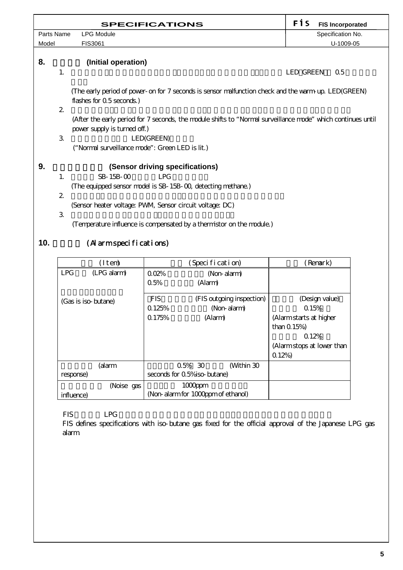|                             | <b>SPECIFICATIONS</b>                                                                                                                        | FİS<br><b>FIS Incorporated</b> |
|-----------------------------|----------------------------------------------------------------------------------------------------------------------------------------------|--------------------------------|
| Parts Name                  | <b>LPG Module</b>                                                                                                                            | Specification No.              |
| Model                       | <b>FIS3061</b>                                                                                                                               | U-1009-05                      |
| 8.                          | (Initial operation)                                                                                                                          |                                |
| 1.                          |                                                                                                                                              | <b>LED GREEN</b><br>0.5        |
|                             | (The early period of power- on for 7 seconds is sensor malfunction check and the warm up. LED(GREEN)                                         |                                |
| $\mathbf{2}$                | flashes for $0.5$ seconds.)                                                                                                                  |                                |
|                             | (After the early period for 7 seconds, the module shifts to "Normal surveillance mode" which continues until<br>power supply is turned off.) |                                |
| $\mathcal{S}_{\mathcal{S}}$ | LED(GREEN)                                                                                                                                   |                                |
|                             | ("Normal surveillance mode": Green LED is lit.)                                                                                              |                                |
| 9.                          | (Sensor driving specifications)                                                                                                              |                                |
| 1.                          | $SB-15B-CO$<br><b>LPG</b>                                                                                                                    |                                |
|                             | (The equipped sensor model is SB-15B-00, detecting methane.)                                                                                 |                                |
| $\mathbf{2}$                |                                                                                                                                              |                                |
|                             | (Sensor heater voltage: PWM, Sensor circuit voltage: DC)                                                                                     |                                |
| $\mathcal{S}_{\mathcal{S}}$ |                                                                                                                                              |                                |
|                             | (Temperature influence is compensated by a thermistor on the module.)                                                                        |                                |

# 10. **(Alarm specifications)**

|                     | (Item)      |                                    |            | (Specification) |                           | Renark)                   |
|---------------------|-------------|------------------------------------|------------|-----------------|---------------------------|---------------------------|
| LPG                 | (LPG alarm) | 0.02%                              |            |                 | (Non-alarm)               |                           |
|                     |             | 0.5%                               |            | (Alarm)         |                           |                           |
| (Gas is iso-butane) |             | <b>FIS</b>                         |            |                 | (FIS outgoing inspection) | (Design value)            |
|                     |             | 0.125%                             |            |                 | (Non-alarm)               | 0.15%                     |
|                     |             | 0.175%                             |            | (Alarm)         |                           | (Alarmstarts at higher    |
|                     |             |                                    |            |                 |                           | than $0.15%$              |
|                     |             |                                    |            |                 |                           | 0.12%                     |
|                     |             |                                    |            |                 |                           | (Alarmstops at lower than |
|                     |             |                                    |            |                 |                           | 0.12%                     |
|                     | (alarm      |                                    | 0.5% 30    |                 | (Within 30                |                           |
| response)           |             | seconds for 0.5% iso-butane)       |            |                 |                           |                           |
|                     | (Noise gas  |                                    | $1000$ ppm |                 |                           |                           |
| influence)          |             | (Non-alarm for 1000ppm of ethanol) |            |                 |                           |                           |

FIS LPG  $\overline{C}$ 

FIS defines specifications with iso-butane gas fixed for the official approval of the Japanese LPG gas alarm.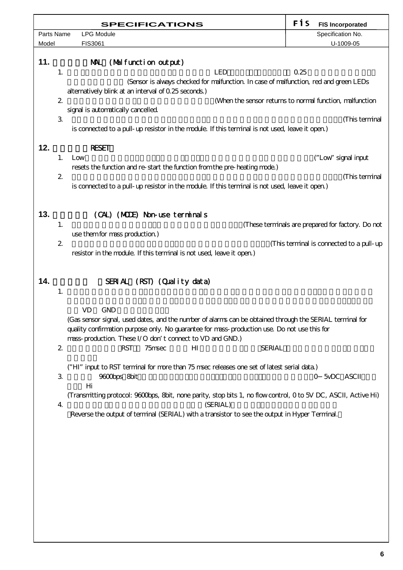|            | <b>F</b> is<br><b>FIS Incorporated</b><br><b>SPECIFICATIONS</b> |                                                                                                                                                                                                                                                                                                                                                                                                                              |      |                                                   |  |  |  |
|------------|-----------------------------------------------------------------|------------------------------------------------------------------------------------------------------------------------------------------------------------------------------------------------------------------------------------------------------------------------------------------------------------------------------------------------------------------------------------------------------------------------------|------|---------------------------------------------------|--|--|--|
| Parts Name |                                                                 | <b>LPG Module</b>                                                                                                                                                                                                                                                                                                                                                                                                            |      | Specification No.                                 |  |  |  |
| Model      |                                                                 | FIS3061                                                                                                                                                                                                                                                                                                                                                                                                                      |      | U-1009-05                                         |  |  |  |
| 11.<br>12. | 1.<br>$\mathbf{z}$<br>$\mathcal{S}$<br>1.                       | (Malfunction output)<br><b>ML</b><br><b>LED</b><br>(Sensor is always checked for malfunction. In case of malfunction, red and green LEDs<br>alternatively blink at an interval of 0.25 seconds.)<br>(When the sensor returns to normal function, malfunction<br>signal is automatically cancelled.<br>is connected to a pull- up resistor in the module. If this terminal is not used, leave it open)<br><b>RESET</b><br>Low | 0.25 | (This terminal<br>("Low" signal input             |  |  |  |
|            |                                                                 | resets the function and re-start the function from the pre-heating mode.)                                                                                                                                                                                                                                                                                                                                                    |      |                                                   |  |  |  |
|            | $\mathbf{z}$                                                    | is connected to a pull- up resistor in the module. If this terminal is not used, leave it open)                                                                                                                                                                                                                                                                                                                              |      | (This terminal                                    |  |  |  |
| 13.        |                                                                 | (CAL) (MODE) Non-use terminals                                                                                                                                                                                                                                                                                                                                                                                               |      |                                                   |  |  |  |
|            | 1.                                                              |                                                                                                                                                                                                                                                                                                                                                                                                                              |      | (These terminals are prepared for factory. Do not |  |  |  |
|            |                                                                 | use them for mass production)                                                                                                                                                                                                                                                                                                                                                                                                |      |                                                   |  |  |  |
|            | $2\,$                                                           | resistor in the module. If this terminal is not used, leave it open.)                                                                                                                                                                                                                                                                                                                                                        |      | (This terminal is connected to a pull-up          |  |  |  |
| 14.        | 1.                                                              | (RST) (Quality data)<br>SERIAL                                                                                                                                                                                                                                                                                                                                                                                               |      |                                                   |  |  |  |
|            | $\boldsymbol{2}$                                                | VD<br><b>GND</b><br>(Gas sensor signal, used dates, and the number of alarms can be obtained through the SERIAL terminal for<br>quality confirmation purpose only. No guarantee for mass-production use. Do not use this for<br>mass-production. These I/O don t connect to VD and GND.)<br><b>RST</b><br>75msec<br>H <sub>I</sub><br><b>SERIAL</b>                                                                          |      |                                                   |  |  |  |
|            | 3                                                               | ("HI" input to RST terminal for more than 75 msec releases one set of latest serial data.)<br>9600bps 8bit<br>Hi                                                                                                                                                                                                                                                                                                             |      | 0 5vDC ASCII                                      |  |  |  |
|            | 4.                                                              | (Transmitting protocol: 9600bps, 8bit, none parity, stop bits 1, no flow control, 0 to 5V DC, ASCII, Active Hi)<br>(SERIAL)<br>Reverse the output of terminal (SERIAL) with a transistor to see the output in Hyper Terminal.                                                                                                                                                                                                |      |                                                   |  |  |  |
|            |                                                                 |                                                                                                                                                                                                                                                                                                                                                                                                                              |      |                                                   |  |  |  |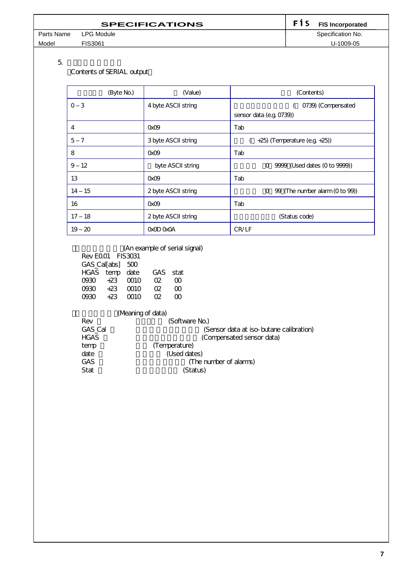|            | <b>SPECIFICATIONS</b> | <b>FIS Incorporated</b> |
|------------|-----------------------|-------------------------|
| Parts Name | LPG Module            | Specification No.       |
| Model      | FIS3061               | U-1009-05               |
|            |                       |                         |

 $5.$ 

Contents of SERIAL output

| (Byte No.)    | (Value)             | (Contents)                           |
|---------------|---------------------|--------------------------------------|
| -3<br>$\circ$ | 4 byte ASCII string | 0739) (Compensated                   |
|               |                     | sensor data (e.g. 0739))             |
| 4             | QxO9                | Tab                                  |
| 5<br>-7       | 3 byte ASCII string | $+25$ ) (Temperature (e.g. $+25$ ))  |
| 8             | QxO9                | Tab                                  |
| 9<br>-12      | byte ASCII string   | 9999 (Used dates (0 to 9999))<br>O   |
| 13            | QxO9                | Tab                                  |
| 14 15         | 2 byte ASCII string | 99 (The number alarm (0 to 99))<br>O |
| 16            | QxO9                | Tab                                  |
| 17<br>18      | 2 byte ASCII string | (Status code)                        |
| 20<br>19      | OxOD OxOA           | CR/LF                                |

(An example of serial signal)

| Rev EQ01 FIS3031 |                  |      |          |   |  |
|------------------|------------------|------|----------|---|--|
|                  | GAS_Cal[abs] 500 |      |          |   |  |
| HGAS temp date   |                  |      | GAS stat |   |  |
| $0930 +23$       |                  | ന്നറ | ന        | ന |  |
| <b>0930</b>      | $+23$            | ന്നറ | ന        | ന |  |
| ന്ദുറ            | $+23$            | ന്നറ | ന        | m |  |

(Meaning of data)

| Rev         | (Software No.)                          |
|-------------|-----------------------------------------|
| GAS_Cal     | (Sensor data at iso-butane calibration) |
| <b>HGAS</b> | (Compensated sensor data)               |
| temp        | (Temperature)                           |
| date        | (Used dates)                            |
| <b>GAS</b>  | (The number of alarms)                  |
| Stat        | (Status)                                |
|             |                                         |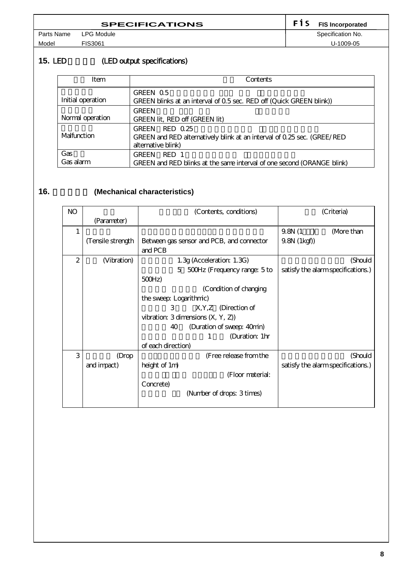|            | <b>SPECIFICATIONS</b> | <b>F</b> 1 S FIS Incorporated |
|------------|-----------------------|-------------------------------|
| Parts Name | LPG Module            | Specification No.             |
|            |                       |                               |

Model FIS3061 U-1009-05

15. LED (LED output specifications)

| Item              | Contents                                                                                                          |
|-------------------|-------------------------------------------------------------------------------------------------------------------|
| Initial operation | GREEN 05<br>GREEN blinks at an interval of 0.5 sec. RED off (Quick GREEN blink))                                  |
| Normal operation  | <b>GREEN</b><br>GREEN lit, RED off (GREEN lit)                                                                    |
| Malfunction       | GREEN RED $0.25$<br>GREEN and RED alternatively blink at an interval of 0.25 sec. (GREE/RED<br>alternative blink) |
| Gas<br>Gas alarm  | <b>GREEN</b><br>RED 1<br>GREEN and RED blinks at the same interval of one second (ORANGE blink)                   |

## 16. **(Mechanical characteristics)**

| NO           |                   | (Contents, conditions)                               | (Criteria)                         |
|--------------|-------------------|------------------------------------------------------|------------------------------------|
|              | (Parameter)       |                                                      |                                    |
| 1            |                   |                                                      | 9.8N(1)<br>(More than              |
|              | (Tensile strength | Between gas sensor and PCB, and connector<br>and PCB | $9.8N$ $(1kgf)$                    |
| $\mathbf{2}$ | (Vibration)       | $1.3g$ (Acceleration: $1.3G$ )                       | (Should                            |
|              |                   | 5 500Hz (Frequency range: 5 to                       | satisfy the alarm specifications.) |
|              |                   | 500Hz                                                |                                    |
|              |                   | (Condition of changing                               |                                    |
|              |                   | the sweep: Logarithmic)                              |                                    |
|              |                   | 3<br>$X, Y, Z$ (Direction of                         |                                    |
|              |                   | vibration: $3$ dimensions $(X, Y, Z)$                |                                    |
|              |                   | (Duration of sweep: 40min)<br>40                     |                                    |
|              |                   | (Duration: 1hr<br>1                                  |                                    |
|              |                   | of each direction)                                   |                                    |
| 3            | (Drop             | (Free release from the                               | (Should                            |
|              | and impact)       | height of 1m)                                        | satisfy the alarm specifications.) |
|              |                   | (Floor material:                                     |                                    |
|              |                   | Concrete)                                            |                                    |
|              |                   | (Number of drops: 3 times)                           |                                    |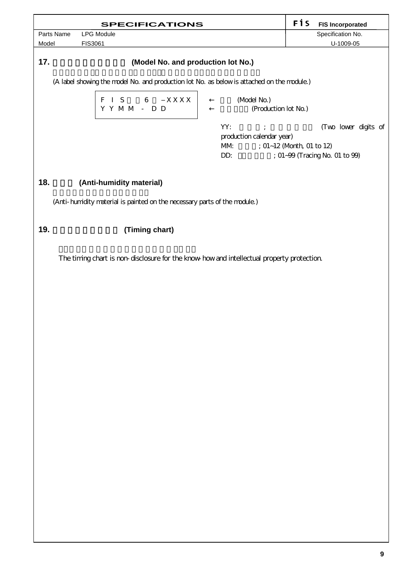|            | <b>SPECIFICATIONS</b>                                                                      |                                     | FİS<br><b>FIS Incorporated</b>   |
|------------|--------------------------------------------------------------------------------------------|-------------------------------------|----------------------------------|
| Parts Name | <b>LPG Module</b>                                                                          |                                     | Specification No.                |
| Model      | FIS3061                                                                                    |                                     | U-1009-05                        |
| 17.        | (Model No. and production lot No.)                                                         |                                     |                                  |
|            | (A label showing the model No. and production lot No. as below is attached on the module.) |                                     |                                  |
|            | $\begin{array}{cccc} F & I & S & 6 & XXXX \\ Y & Y & M & M & - & D & D \end{array}$        | (Model No.)<br>(Production lot No.) |                                  |
|            |                                                                                            |                                     |                                  |
|            |                                                                                            | YY:                                 | (Two lower digits of             |
|            |                                                                                            | production calendar year)           |                                  |
|            |                                                                                            | MM                                  | $: 01 - 12$ (Month, 01 to 12)    |
|            |                                                                                            | DD:                                 | ; $01-99$ (Tracing No. 01 to 99) |
|            |                                                                                            |                                     |                                  |
| 18.        | (Anti-humidity material)                                                                   |                                     |                                  |
|            | (Anti-humidity material is painted on the necessary parts of the module.)                  |                                     |                                  |
|            |                                                                                            |                                     |                                  |
| 19.        | (Timing chart)                                                                             |                                     |                                  |
|            | The timing chart is non-disclosure for the know-how and intellectual property protection.  |                                     |                                  |
|            |                                                                                            |                                     |                                  |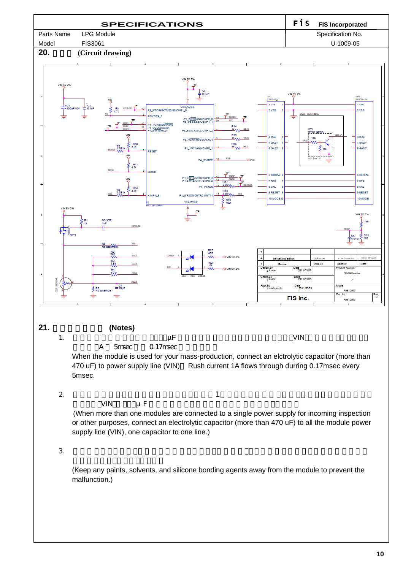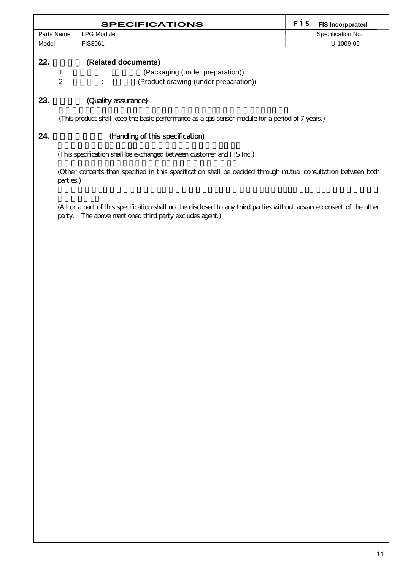|       |                                                                                                                             |                     | <b>SPECIFICATIONS</b>                                                                           | <b>F</b> is<br><b>FIS Incorporated</b> |
|-------|-----------------------------------------------------------------------------------------------------------------------------|---------------------|-------------------------------------------------------------------------------------------------|----------------------------------------|
|       | Parts Name                                                                                                                  | <b>LPG Module</b>   |                                                                                                 | Specification No.                      |
| Model |                                                                                                                             | FIS3061             |                                                                                                 | U-1009-05                              |
|       |                                                                                                                             |                     |                                                                                                 |                                        |
| 22.   |                                                                                                                             |                     | (Related documents)                                                                             |                                        |
|       | 1.                                                                                                                          |                     | (Packaging (under preparation))                                                                 |                                        |
|       | $\mathbf{z}$                                                                                                                |                     | (Product drawing (under preparation))                                                           |                                        |
|       |                                                                                                                             |                     |                                                                                                 |                                        |
| 23.   |                                                                                                                             | (Quality assurance) |                                                                                                 |                                        |
|       |                                                                                                                             |                     | (This product shall keep the basic performance as a gas sensor module for a period of 7 years.) |                                        |
| 24.   |                                                                                                                             |                     | (Handling of this specification)                                                                |                                        |
|       |                                                                                                                             |                     | (This specification shall be exchanged between customer and FIS Inc.)                           |                                        |
|       | (Other contents than specified in this specification shall be decided through mutual consultation between both<br>parties.) |                     |                                                                                                 |                                        |
|       |                                                                                                                             |                     |                                                                                                 |                                        |

(All or a part of this specification shall not be disclosed to any third parties without advance consent of the other party. The above mentioned third party excludes agent.)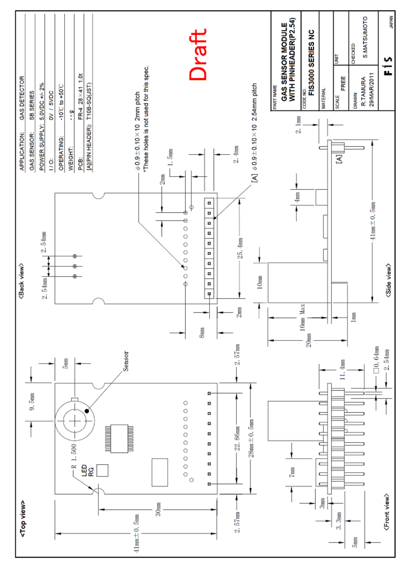